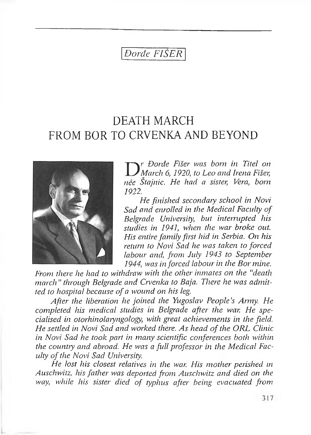# *Đorđe FIŠER*

# DEATH MARCH FROM BOR TO CRVENKA AND BEYOND



*D r Đorđe Fišer was born in Titel on March 6, 1920, to Leo and Irena Fišer, nee Stajalie. Hc had a dister, Vera, bom 1922.*

*He finished secondary school in Novi Sad and enrolled in the Medical Faculty of Belgrade University, but interrupted his studies in 1941, when the war broke out. His entire family first hid in Serbia. On his return to Novi Sad he was taken to forced labour anal, from July 1943 to September 1944-, was in forced labour in the Bor mine.*

*From there he had to withdraw with the other inmates on the "death march " through Belgrade and Crvenka to Baja. There he was admitted to hospital because of <sup>a</sup> wound on his leg.*

*After the liberation he joined the Yugoslav People's Army. He completed his medical studies in Belgrade after the war. He specialised in otorhinolaiyngolofy, with great achievements in the field. He settled in Novi Sad and worked there. As head ofthe ORL Clinic in Novi Sad he took part in many scientific conferences both within the country and- abroad.. He was a full professor in the Medical Faculty ofthe Novi Sad University.*

*He lost his closest relatives in the war. His mother perished in Auschwitz, his father was deported, from Auschwitz and. died on the way, while his sister died, of typhus after being evacuated from*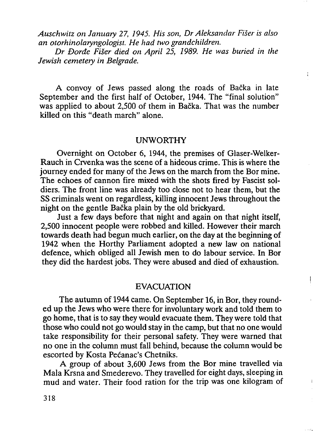*Auschwitz on January 27, 1945. His son, Dr Aleksandar Fišer is also an otorhinolaryngologist. He had two grandchildren.*

*Dr Đorđe Fišer died on April 25, 1989. He was buried in the Jewish cemetery in Belgrade.*

ŧ

 $\mathbf{I}$ 

A convoy of Jews passed along the roads of Bačka in late September and the first half of October, 1944. The "final solution" was applied to about 2,500 of them in Bačka. That was the number killed on this "death march" alone.

#### UNWORTHY

Overnight on October 6, I944, the premises of Glaser-Welker-Rauch in Crvenka was the scene of a hideous crime. This is where the journey ended for many of the Jews on the march from the Bor mine. The echoes of cannon fire mixed with the shots fired by Fascist soldiers. The front line was already too close not to hear them, but the SS criminals went on regardless, killing innocent Jews throughout the night on the gentle Bačka plain by the old brickyard.

Just a few days before that night and again on that night itself, 2,500 innocent people were robbed and killed. However their march towards death had begun much earlier, on the day at the beginning of I942 when the Horthy Parliament adopted a new law on national defence, which obliged all Jewish men to do labour service. In Bor they did the hardest jobs. They were abused and died of exhaustion.

#### EVACUATION

The autumn of I944 came. On September I6, in Bor, they rounded up the Jews who were there for involuntary work and told them to go home, that is to say they would evacuate them. They were told that those who could not go would stay in the camp, but that no one would take responsibility for their personal safety. They were warned that no one in the column must fall behind, because the column would be escorted by Kosta Pećanac's Chetniks.

A group of about 3,600 Jews from the Bor mine travelled via Mala Krsna and Smederevo. They travelled for eight days, sleeping in mud and water. Their food ration for the trip was one kilogram of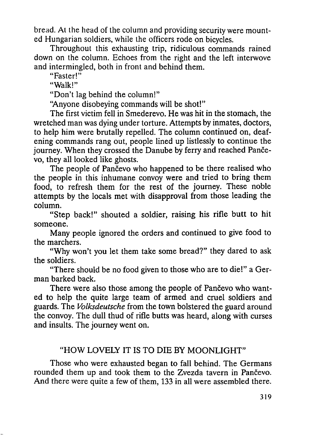bread. Al the head of the column and providing security were mounted Hungarian soldiers, while the officers rode on bicycles.

Throughout this exhausting trip, ridiculous commands rained down on the column. Echoes from the right and the left interwove and intermingled, both in front and behind them.

"Faster!"

"Walk!"

"Don't lag behind the column!"

"Anyone disobeying commands will be shot!"

The first victim fell in Smederevo. He was hit in the stomach, the wretched man was dying under torture. Attempts by inmates, doctors, to help him were brutally repelled. The column continued on, deafening commands rang out, people lined up listlessly to continue the journey. When they crossed the Danube by ferry and reached Pančevo, they all looked like ghosts.

The people of Pančevo who happened to be there realised who the people in this inhumane convoy were and tried to bring them food, to refresh them for the rest of the journey. These noble attempts by the locals met with disapproval from those leading the column.

"Step back!" shouted a soldier, raising his rifle butt to hit someone.

Many people ignored the orders and continued to give food to the marchers.

"Why won't you let them take some bread?" they dared to ask the soldiers.

"There should be no food given to those who are to die!" a German barked back.

There were also those among the people of Pančevo who wanted to help the quite large team of armed and cruel soldiers and guards. The *Volksdeutsche* from the town bolstered the guard around the convoy. The dull thud of rifle butts was heard, along with curses and insults. The journey went on.

#### "HOW LOVELY IT IS TO DIE BY MOONLIGHT"

Those who were exhausted began to fall behind. The Germans rounded them up and took them to the Zvezda tavern in Pančevo. And there were quite a few of them, 133 in all were assembled there.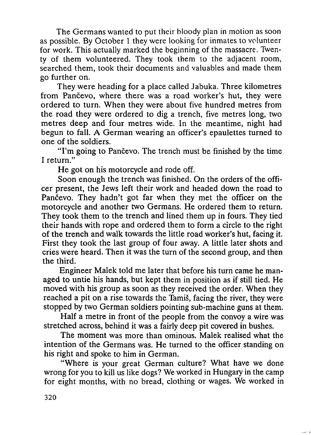The Germans wanted to put their bloody plan in motion as soon as possible. By October I they were looking for inmates to volunteer for work. This actually marked the beginning of the massacre. Twenty of them volunteered. They took them to the adjacent room, searched them, took their documents and valuables and made them go further on.

They were heading for a place called Jabuka. Three kilometres from Pančevo, where there was a road worker's hut, they were ordered to turn. When they were about five hundred metres from the road they were ordered to dig a trench, five metres long, two metres deep and four metres wide. In the meantime, night had begun to fall. A German wearing an officer's epaulettes turned to one of the soldiers.

"I'm going to Pančevo. The trench must be finished by the time I return."

He got on his motorcycle and rode off.

Soon enough the trench was finished. On the orders of the officer present, the Jews left their work and headed down the road to Pančevo. They hadn't got far when they met the officer on the motorcycle and another two Germans. He ordered them to return. They took them to the trench and lined them up in fours. They tied their hands with rope and ordered them to form a circle to the right of the trench and walk towards the little road worker's hut, facing it. First they took the last group of four away. A little later shots and cries were heard. Then it was the turn of the second group, and then the third.

Engineer Malek told me later that before his turn came he managed to untie his hands, but kept them in position as if still tied. He moved with his group as soon as they received the order. When they reached a pit on a rise towards the Tamiš, facing the river, they were stopped by two German soldiers pointing sub-machine guns at them.

Half a metre in front of the people from the convoy a wire was stretched across, behind it was a fairly deep pit covered in bushes.

The moment was more than ominous. Malek realised what the intention of the Germans was. He turned to the officer standing on his right and spoke to him in German.

"Where is your great German culture? What have we done wrong for you to kill us like dogs? We worked in Hungary in the camp for eight months, with no bread, clothing or wages. We worked in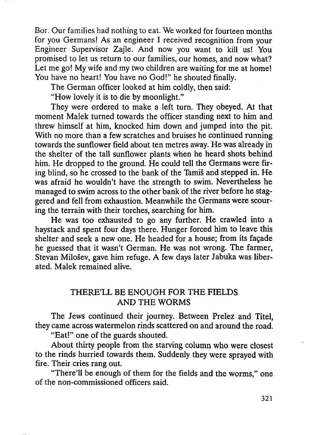Bor. Our families had nothing to eat. We worked for fourteen months for you Germans! As an engineer I received recognition from your Engineer Supervisor Zajle. And now you want to kill us! You promised to let us return to our families, our homes, and now what? Let me go! My wife and my two children are waiting for me at home! You have no heart! You have no God!" he shouted finally.

The German officer looked at him coldly, then said:

"How lovely it is to die by moonlight."

They were ordered to make a left turn. They obeyed. At that moment Malek turned towards the officer standing next to him and threw himself at him, knocked him down and jumped into the pit. With no more than a few scratches and bruises he continued running towards the sunflower field about ten metres away. He was already in the shelter of the tall sunflower plants when he heard shots behind him. He dropped to the ground. He could tell the Germans were firing blind, so he crossed to the bank of the Tamiš and stepped in. He was afraid he wouldn't have the strength to swim. Nevertheless he managed to swim across to the other bank of the river before he staggered and fell from exhaustion. Meanwhile the Germans were scouring the terrain with their torches, searching for him.

He was too exhausted to go any further. He crawled into a haystack and spent four days there. Hunger forced him to leave this shelter and seek a new one. He headed for a house; from its fagade he guessed that it wasn't German. He was not wrong. The farmer, Stevan Milošev, gave him refuge. A few days later Jabuka was liberated. Malek remained alive.

## THERE'LL BE ENOUGH FOR THE FIELDS AND THE WORMS

The Jews continued their journey. Between Prelez and Titel, they came across watermelon rinds scattered on and around the road.

"Eat!" one of the guards shouted.

About thirty people from the starving column who were closest to the rinds hurried towards them. Suddenly they were sprayed with fire. Their cries rang out.

"There'll be enough of them for the fields and the worms," one of the non-commissioned officers said.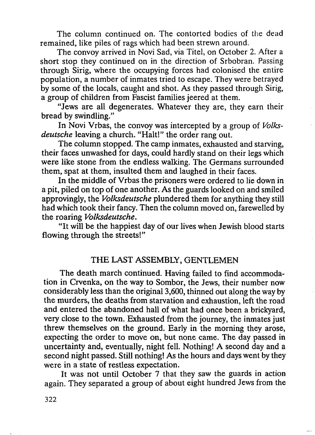The column continued on. The contorted bodies of the dead remained, like piles of rags which had been strewn around.

The convoy arrived in Novi Sad, via Titel, on October 2. After a short stop they continued on in the direction of Srbobran. Passing through Sirig, where the occupying forces had colonised the entire population, a number of inmates tried to escape. They were betrayed by some of the locals, caught and shot. As they passed through Sirig, a group of children from Fascist families jeered at them.

"Jews are all degenerates. Whatever they are, they earn their bread by swindling."

In Novi Vrbas, the convoy was intercepted by a group of *Volksdeutsche* leaving a church. "Halt!" the order rang out.

The column stopped. The camp inmates, exhausted and starving, their faces unwashed for days, could hardly stand on their legs which were like stone from the endless walking. The Germans surrounded them, spat at them, insulted them and laughed in their faces.

In the middle of Vrbas the prisoners were ordered to lie down in a pit, piled on top of one another. As the guards looked on and smiled approvingly, the *Volksdeutsche* plundered them for anything they still had which took their fancy. Then the column moved on, farewelled by the roaring *Volksdeutsche.*

"It will be the happiest day of our lives when Jewish blood starts flowing through the streets!"

#### THE LAST ASSEMBLY, GENTLEMEN

The death march continued. Having failed to find accommodation in Crvenka, on the way to Sombor, the Jews, their number now considerably less than the original 3,600, thinned out along the way by the murders, the deaths from starvation and exhaustion, left the road and entered the abandoned hall of what had once been a brickyard, very close to the town. Exhausted from the journey, the inmates just threw themselves on the ground. Early in the morning they arose, expecting the order to move on, but none came. The day passed in uncertainty and, eventually, night fell. Nothing! A second day and a second night passed. Still nothing! As the hours and days went by they were in a state of restless expectation.

It was not until October 7 that they saw the guards in action again. They separated a group of about eight hundred Jews from the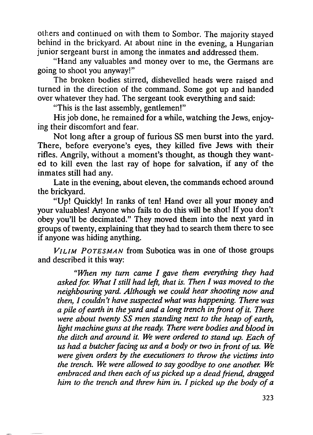others and continued on with them to Sombor. The majority stayed behind in the brickyard. At about nine in the evening, a Hungarian junior sergeant burst in among the inmates and addressed them.

"Hand any valuables and money over to me, the Germans are going to shoot you anyway!"

The broken bodies stirred, dishevelled heads were raised and turned in the direction of the command. Some got up and handed over whatever they had. The sergeant took everything and said:

"This is the last assembly, gentlemen!"

His job done, he remained for a while, watching the Jews, enjoying their discomfort and fear.

Not long after a group of furious SS men burst into the yard. There, before everyone's eyes, they killed five Jews with their rifles. Angrily, without a moment's thought, as though they wanted to kill even the last ray of hope for salvation, if any of the inmates still had any.

Late in the evening, about eleven, the commands echoed around the brickyard.

"Up! Quickly! 1n ranks of ten! Hand over all your money and your valuables! Anyone who fails to do this will be shot! 1f you don't obey you'll be decimated." They moved them into the next yard in groups of twenty, explaining that they had to search them there to see if anyone was hiding anything.

*Vilim Potesman* from Subotica was in one of those groups and described it this way:

*"When my turn came I gave them everything they had askedfor. What Istill had left, that is. Then I was moved to the neighbouring yard. Although we could hear shooting now and then, I couldn't have suspected what was happening. There was a pile ofearth in the yard and a long trench in front offit. There were about twenty SS men standing next to the heap of earth, light machine guns at the ready. There were bodies and blood in the ditch and around it. We were ordered to stand up. Each of us had a butcherfacing us and a body or two in front of us. We were given orders by the executioners to throw the victims into the trench. We were allowed to say goodbye to one another. We embraced and then each ofus picked up a deadfriend, dragged him to the trench and threw him in. Ipicked up the body ofa*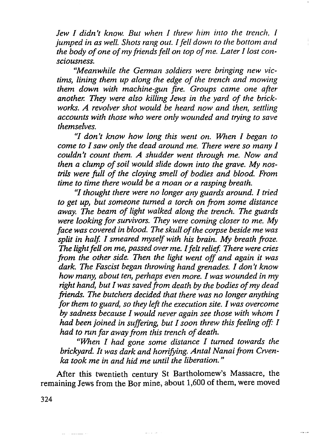*Jew I didn't know. But when I threw him into the trench, I jumped in as well. Shots rang out. Ifell down to the bottom and the body ofone ofmy friendsfell on top ofme. Later I lost consciousness.*

*"Meanwhile the Gerrnan soldiers were bringing new victims, lining them up along the edge of the trench and mowing them down with machine-gun fire. Groups came one after another. They were also killing Jews in the yard of the brickworks. A revolver shot would be heard now and then, settling accounts with those who were only wounded and trying to save themselves.*

*"I don't know how long this went on. When I began to come to Isaw only the dead around me. There were so many I couldn't count them. A shudder went through me. Now and then a clump ofsoil would slide down into the grave. My nostrils were full of the cloying smell of bodies and blood. From time to time there would be a moan or a rasping breath.*

*"Ithought there were no longer any guards around. I tried to get up, but someone turned a torch on from some distance away. The beam of light walked along the trench. The guards were looking forsurvivors. They were coming closer to me. My face was covered in blood. The skull ofthe corpse beside me was split in half. I smeared myself with his brain. My breath froze. The lightfell on me, passed over me. Ifeltrelief There were cries from the other side. Then the light went off and again it was dark. The Fascist began throwing hand grenades. I don't know how many, about ten, perhaps even more. Iwas wounded in my right hand, butIwas savedfrom death by the bodies ofmy dead friends. The butchers decided that there was no longer anything forthem to guard, so they left the execution site. Iwas overcome by sadness because I would never again see those with whom I had been joined in suffering, but Isoon threw thisfeeling off: I had to run far away from this trench ofdeath.*

*"When I had gone some distance I turned towards the brickyard. It was dark and horrifying. Antal Nanaifrom Crvenka took me in and hid me until the liberation. "*

After this twentieth century St Bartholomew's Massacre, the remaining Jews from the Bor mine, about 1,600 of them, were moved

324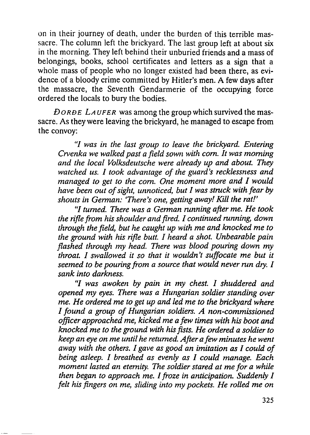on in their journey of death, under the burden of this terrible massacre. The column left the brickyard. The last group left at about six in the morning. They left behind their unburied friends and a mass of belongings, books, school certificates and letters as a sign that a whole mass of people who no longer existed had been there, as evidence of a bloody crime committed by Hitler's men. A few days after the massacre, the Seventh Gendarmerie of the occupying force ordered the locals to bury the bodies.

*DORDE LAUFER was among the group which survived the mas*sacre. As they were leaving the brickyard, he managed to escape from the convoy:

*"I was in the last group to leave the brickyard. Entering Crvenka we walked past a field sown with com. It was morning and the local Volksdeutsche were already up and about. They watched us. I took advantage of the guard's recklessness and managed to get to the com. One moment more and I would have been out ofsight, unnoticed, but I was struck with fear by shouts in German: 'There's one, getting away! Kill the rat!'*

*"I turned. There was a German running after me. He took the rifle from hisshoulder andfired. I continued running, down through the field, but he caught up with me and knockedme to the ground with his rifle butt. I heard <sup>a</sup> shot. Unbearable pain flashed through my head. There was blood pouring down my throat. I swallowed it so that it wouldn't suffocate me but it seemed to be pouringfrom a source that would never run dry. I sank into darkness.*

*"I was awoken by pain in my chest. I shuddered and opened my eyes. There was a Hungarian soldier standing over me. He ordered me to get up and led me to the brickyard where Ifound <sup>a</sup> group of Hungarian soldiers. A non-commissioned officer approached me, kicked me a few times with his boot and knockedme to the ground with hisfists. He ordered a soldierto keep an eye on me until he returned. Afterafew minutes he went away with the others. I gave as good an imitation as I could of being asleep. I breathed as evenly as I could manage. Each moment lasted an eternity. The soldierstared at me for a while then began to approach me. Ifroze in anticipation. Suddenly I felt hisfingers on me, sliding into my pockets. He rolled me on*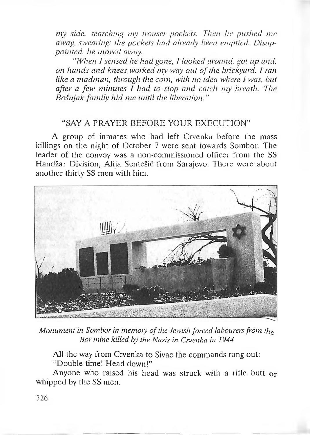*my side, searching my trouser pockets. Then he pushed me away, swearing: the pockets had already been emptied. Disappointed, he moved away.*

*"When I sensed he had gone, I looked around, got up and, on hands and knees worked my way out of the brickyard. I ran like a madman, through the corn, with no idea where I was, but after a few minutes I had to stop and catch my breath. The Bošnjak family hid me until the liberation. "*

### "SAY A PRAYER BEFORE YOUR EXECUTION"

A group of inmates who had left Crvenka before the mass killings on the night of October 7 were sent towards Sombor. The leader of the convoy was a non-commissioned officer from the SS Handžar Division, Alija Sentešić from Sarajevo. There were about another thirty SS men with him.



*Monument in Sombor in memory ofthe Jewish forced labourersfrom the Bor mine killed by the Nazis in Crvenka in 1944*

All the way from Crvenka to Sivac the commands rang out: "Double time! Head down!"

Anyone who raised his head was struck with a rifle butt or whipped by the SS men.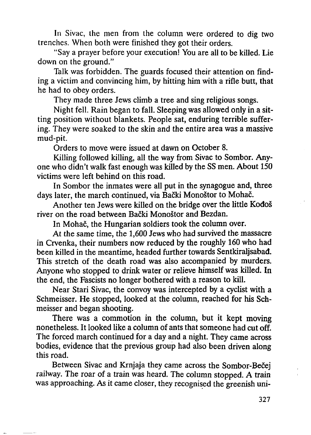In Sivac, the men from the column were ordered to dig two trenches. When both were finished they got their orders.

"Say a prayer before your execution! You are all to be killed. Lie down on the ground."

Talk was forbidden. The guards focused their attention on finding a victim and convincing him, by hitting him with a rifle butt, that he had to obey orders.

They made three Jews climb a tree and sing religious songs.

Night fell. Rain began to fall. Sleeping was allowed only in a sitting position without blankets. People sat, enduring terrible suffering. They were soaked to the skin and the entire area was a massive mud-pit.

Orders to move were issued at dawn on October 8.

Killing followed killing, all the way from Sivac to Sombor. Anyone who didn't walk fast enough was killed by the SS men. About 150 victims were left behind on this road.

In Sombor the inmates were all put in the synagogue and, three days later, the march continued, via Bački Monoštor to Mohač.

Another ten Jews were killed on the bridge over the little Kođoš river on the road between Bački Monoštor and Bezdan.

In Mohač, the Hungarian soldiers took the column over.

At the same time, the 1,600 Jews who had survived the massacre in Crvenka, their numbers now reduced by the roughly 160 who had been killed in the meantime, headed further towards Sentkiraljsabađ. This stretch of the death road was also accompanied by murders. Anyone who stopped to drink water or relieve himself was killed. In the end, the Fascists no longer bothered with a reason to kill.

Near Stari Sivac, the convoy was intercepted by a cyclist with a Schmeisser. He stopped, looked at the column, reached for his Schmeisser and began shooting.

There was a commotion in the column, but it kept moving nonetheless. It looked like a column of ants that someone had cut off. The forced march continued for a day and a night. They came across bodies, evidence that the previous group had also been driven along this road.

Between Sivac and Krnjaja they came across the Sombor-Bečej railway. The roar of a train was heard. The column stopped. A train was approaching. As it came closer, they recognised the greenish uni-